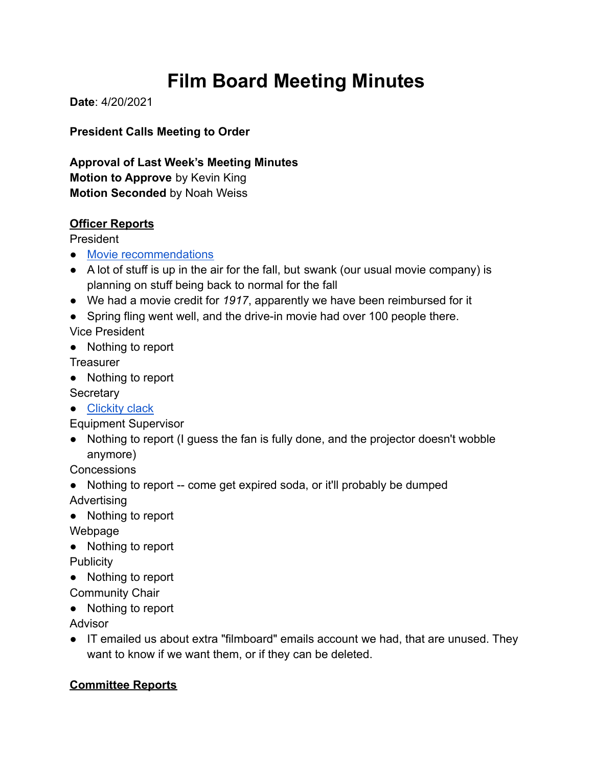# **Film Board Meeting Minutes**

**Date**: 4/20/2021

**President Calls Meeting to Order**

**Approval of Last Week's Meeting Minutes Motion to Approve** by Kevin King **Motion Seconded** by Noah Weiss

#### **Officer Reports**

President

- [Movie recommendations](https://forms.gle/F3m18RpvRn3U5BAd9)
- A lot of stuff is up in the air for the fall, but swank (our usual movie company) is planning on stuff being back to normal for the fall
- We had a movie credit for *1917*, apparently we have been reimbursed for it
- Spring fling went well, and the drive-in movie had over 100 people there.

Vice President

● Nothing to report

**Treasurer** 

● Nothing to report

**Secretary** 

● [Clickity clack](https://www.youtube.com/watch?v=vl-PcTA9HHg)

Equipment Supervisor

● Nothing to report (I guess the fan is fully done, and the projector doesn't wobble anymore)

**Concessions** 

- Nothing to report -- come get expired soda, or it'll probably be dumped Advertising
- Nothing to report

Webpage

● Nothing to report

**Publicity** 

● Nothing to report

Community Chair

● Nothing to report

Advisor

● IT emailed us about extra "filmboard" emails account we had, that are unused. They want to know if we want them, or if they can be deleted.

# **Committee Reports**